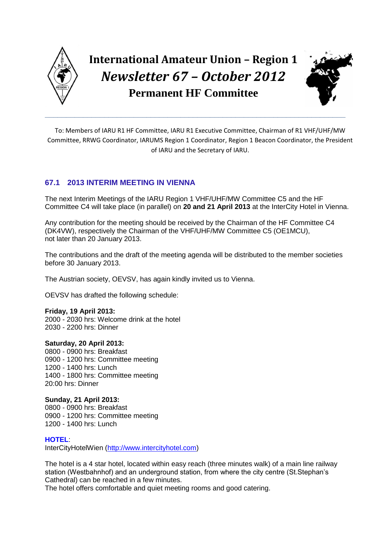

# **International Amateur Union – Region 1** *Newsletter 67 – October 2012*  **Permanent HF Committee**

**\_\_\_\_\_\_\_\_\_\_\_\_\_\_\_\_\_\_\_\_\_\_\_\_\_\_\_\_\_\_\_\_\_\_\_\_\_\_\_\_\_\_\_\_\_\_\_\_\_\_\_\_\_\_\_\_\_\_\_\_\_\_\_\_\_\_\_\_\_\_\_**



To: Members of IARU R1 HF Committee, IARU R1 Executive Committee, Chairman of R1 VHF/UHF/MW Committee, RRWG Coordinator, IARUMS Region 1 Coordinator, Region 1 Beacon Coordinator, the President of IARU and the Secretary of IARU.

# **67.1 2013 INTERIM MEETING IN VIENNA**

The next Interim Meetings of the IARU Region 1 VHF/UHF/MW Committee C5 and the HF Committee C4 will take place (in parallel) on **20 and 21 April 2013** at the InterCity Hotel in Vienna.

Any contribution for the meeting should be received by the Chairman of the HF Committee C4 (DK4VW), respectively the Chairman of the VHF/UHF/MW Committee C5 (OE1MCU), not later than 20 January 2013.

The contributions and the draft of the meeting agenda will be distributed to the member societies before 30 January 2013.

The Austrian society, OEVSV, has again kindly invited us to Vienna.

OEVSV has drafted the following schedule:

# **Friday, 19 April 2013:**

2000 - 2030 hrs: Welcome drink at the hotel 2030 - 2200 hrs: Dinner

# **Saturday, 20 April 2013:**

0800 - 0900 hrs: Breakfast 0900 - 1200 hrs: Committee meeting 1200 - 1400 hrs: Lunch 1400 - 1800 hrs: Committee meeting 20:00 hrs: Dinner

# **Sunday, 21 April 2013:**

0800 - 0900 hrs: Breakfast 0900 - 1200 hrs: Committee meeting 1200 - 1400 hrs: Lunch

# **HOTEL**:

InterCityHotelWien [\(http://www.intercityhotel.com\)](http://www.intercityhotel.com/)

The hotel is a 4 star hotel, located within easy reach (three minutes walk) of a main line railway station (Westbahnhof) and an underground station, from where the city centre (St.Stephan's Cathedral) can be reached in a few minutes.

The hotel offers comfortable and quiet meeting rooms and good catering.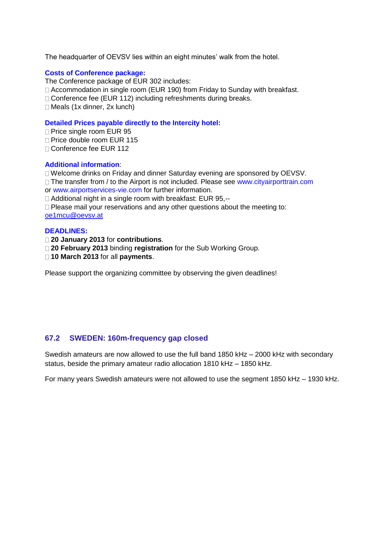The headquarter of OEVSV lies within an eight minutes' walk from the hotel.

### **Costs of Conference package:**

The Conference package of EUR 302 includes:

□ Accommodation in single room (EUR 190) from Friday to Sunday with breakfast.

□ Conference fee (EUR 112) including refreshments during breaks.

 $\Box$  Meals (1x dinner, 2x lunch)

#### **Detailed Prices payable directly to the Intercity hotel:**

□ Price single room EUR 95

 $\Box$  Price double room EUR 115

Conference fee EUR 112

# **Additional information**:

Welcome drinks on Friday and dinner Saturday evening are sponsored by OEVSV.

 $\Box$  The transfer from / to the Airport is not included. Please see www.cityairporttrain.com or www.airportservices-vie.com for further information.

□ Additional night in a single room with breakfast: EUR 95,--

 $\Box$  Please mail your reservations and any other questions about the meeting to: [oe1mcu@oevsv.at](mailto:oe1mcu@oevsv.at)

#### **DEADLINES:**

**20 January 2013** for **contributions**.

**20 February 2013** binding **registration** for the Sub Working Group.

**10 March 2013** for all **payments**.

Please support the organizing committee by observing the given deadlines!

# **67.2 SWEDEN: 160m-frequency gap closed**

Swedish amateurs are now allowed to use the full band 1850 kHz – 2000 kHz with secondary status, beside the primary amateur radio allocation 1810 kHz – 1850 kHz.

For many years Swedish amateurs were not allowed to use the segment 1850 kHz – 1930 kHz.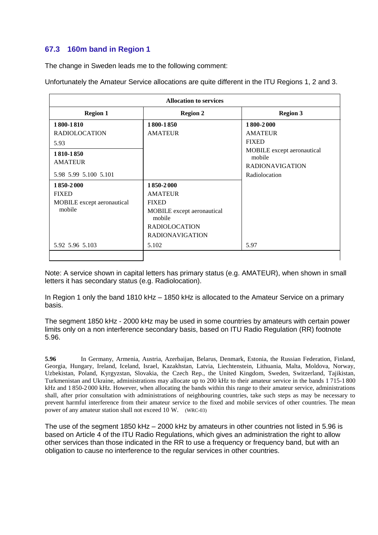# **67.3 160m band in Region 1**

The change in Sweden leads me to the following comment:

Unfortunately the Amateur Service allocations are quite different in the ITU Regions 1, 2 and 3.

| <b>Allocation to services</b> |                                      |                                      |
|-------------------------------|--------------------------------------|--------------------------------------|
| <b>Region 1</b>               | <b>Region 2</b>                      | <b>Region 3</b>                      |
| 1800-1810                     | 1800-1850                            | 1800-2000                            |
| <b>RADIOLOCATION</b>          | <b>AMATEUR</b>                       | <b>AMATEUR</b>                       |
| 5.93                          |                                      | <b>FIXED</b>                         |
| 1810-1850                     |                                      | MOBILE except aeronautical<br>mobile |
| <b>AMATEUR</b>                |                                      | <b>RADIONAVIGATION</b>               |
| 5.98 5.99 5.100 5.101         |                                      | Radiolocation                        |
| 1850-2000                     | 1850-2000                            |                                      |
| <b>FIXED</b>                  | <b>AMATEUR</b>                       |                                      |
| MOBILE except aeronautical    | <b>FIXED</b>                         |                                      |
| mobile                        | MOBILE except aeronautical<br>mobile |                                      |
|                               | <b>RADIOLOCATION</b>                 |                                      |
|                               | <b>RADIONAVIGATION</b>               |                                      |
| 5.92 5.96 5.103               | 5.102                                | 5.97                                 |
|                               |                                      |                                      |

Note: A service shown in capital letters has primary status (e.g. AMATEUR), when shown in small letters it has secondary status (e.g. Radiolocation).

In Region 1 only the band 1810 kHz – 1850 kHz is allocated to the Amateur Service on a primary basis.

The segment 1850 kHz - 2000 kHz may be used in some countries by amateurs with certain power limits only on a non interference secondary basis, based on ITU Radio Regulation (RR) footnote 5.96.

**5.96** In Germany, Armenia, Austria, Azerbaijan, Belarus, Denmark, Estonia, the Russian Federation, Finland, Georgia, Hungary, Ireland, Iceland, Israel, Kazakhstan, Latvia, Liechtenstein, Lithuania, Malta, Moldova, Norway, Uzbekistan, Poland, Kyrgyzstan, Slovakia, the Czech Rep., the United Kingdom, Sweden, Switzerland, Tajikistan, Turkmenistan and Ukraine, administrations may allocate up to 200 kHz to their amateur service in the bands 1 715-1 800 kHz and 1 850-2 000 kHz. However, when allocating the bands within this range to their amateur service, administrations shall, after prior consultation with administrations of neighbouring countries, take such steps as may be necessary to prevent harmful interference from their amateur service to the fixed and mobile services of other countries. The mean power of any amateur station shall not exceed 10 W. (WRC-03)

The use of the segment 1850 kHz – 2000 kHz by amateurs in other countries not listed in 5.96 is based on Article 4 of the ITU Radio Regulations, which gives an administration the right to allow other services than those indicated in the RR to use a frequency or frequency band, but with an obligation to cause no interference to the regular services in other countries.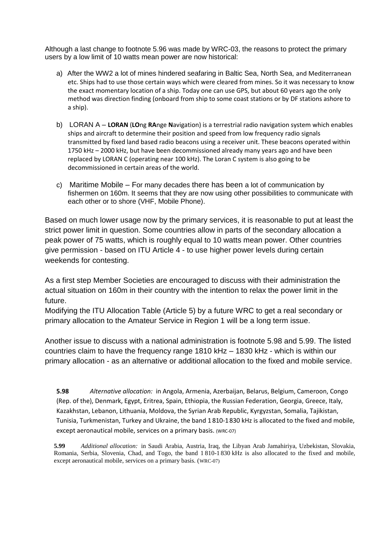Although a last change to footnote 5.96 was made by WRC-03, the reasons to protect the primary users by a low limit of 10 watts mean power are now historical:

- a) After the WW2 a lot of mines hindered seafaring in Baltic Sea, North Sea, and Mediterranean etc. Ships had to use those certain ways which were cleared from mines. So it was necessary to know the exact momentary location of a ship. Today one can use GPS, but about 60 years ago the only method was direction finding (onboard from ship to some coast stations or by DF stations ashore to a ship).
- b) LORAN A **LORAN** (**LO**ng **RA**nge **N**avigation) is a terrestrial radio navigation system which enables ships and aircraft to determine their position and speed from low frequency radio signals transmitted by fixed land based radio beacons using a receiver unit. These beacons operated within 1750 kHz – 2000 kHz, but have been decommissioned already many years ago and have been replaced by LORAN C (operating near 100 kHz). The Loran C system is also going to be decommissioned in certain areas of the world.
- c) Maritime Mobile For many decades there has been a lot of communication by fishermen on 160m. It seems that they are now using other possibilities to communicate with each other or to shore (VHF, Mobile Phone).

Based on much lower usage now by the primary services, it is reasonable to put at least the strict power limit in question. Some countries allow in parts of the secondary allocation a peak power of 75 watts, which is roughly equal to 10 watts mean power. Other countries give permission - based on ITU Article 4 - to use higher power levels during certain weekends for contesting.

As a first step Member Societies are encouraged to discuss with their administration the actual situation on 160m in their country with the intention to relax the power limit in the future.

Modifying the ITU Allocation Table (Article 5) by a future WRC to get a real secondary or primary allocation to the Amateur Service in Region 1 will be a long term issue.

Another issue to discuss with a national administration is footnote 5.98 and 5.99. The listed countries claim to have the frequency range 1810 kHz – 1830 kHz - which is within our primary allocation - as an alternative or additional allocation to the fixed and mobile service.

**5.98** *Alternative allocation:* in Angola, Armenia, Azerbaijan, Belarus, Belgium, Cameroon, Congo (Rep. of the), Denmark, Egypt, Eritrea, Spain, Ethiopia, the Russian Federation, Georgia, Greece, Italy, Kazakhstan, Lebanon, Lithuania, Moldova, the Syrian Arab Republic, Kyrgyzstan, Somalia, Tajikistan, Tunisia, Turkmenistan, Turkey and Ukraine, the band 1 810-1830 kHz is allocated to the fixed and mobile, except aeronautical mobile, services on a primary basis. (WRC-07)

**5.99** *Additional allocation:* in Saudi Arabia, Austria, Iraq, the Libyan Arab Jamahiriya, Uzbekistan, Slovakia, Romania, Serbia, Slovenia, Chad, and Togo, the band 1 810-1 830 kHz is also allocated to the fixed and mobile, except aeronautical mobile, services on a primary basis. (WRC-07)